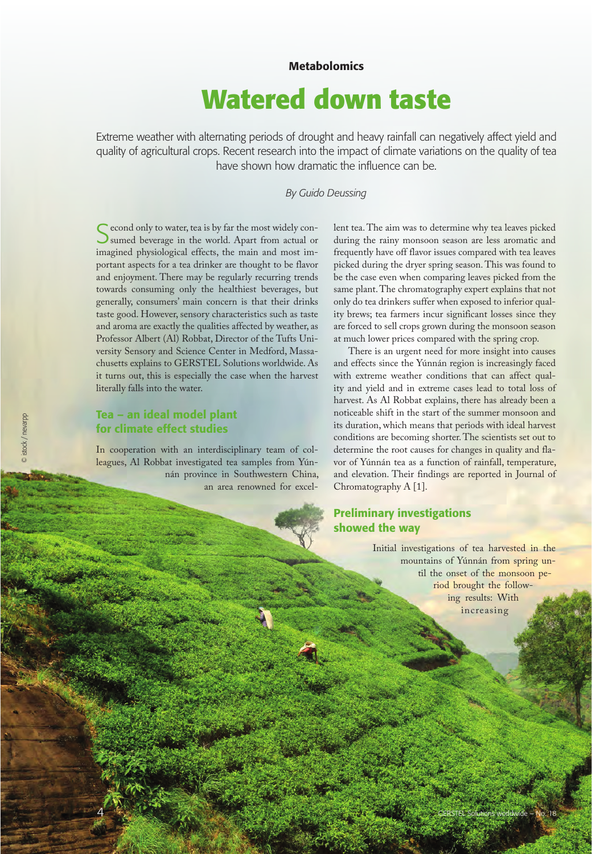#### **Metabolomics**

# **Watered down taste**

Extreme weather with alternating periods of drought and heavy rainfall can negatively affect yield and quality of agricultural crops. Recent research into the impact of climate variations on the quality of tea have shown how dramatic the influence can be.

#### *By Guido Deussing*

C econd only to water, tea is by far the most widely consumed beverage in the world. Apart from actual or imagined physiological effects, the main and most important aspects for a tea drinker are thought to be flavor and enjoyment. There may be regularly recurring trends towards consuming only the healthiest beverages, but generally, consumers' main concern is that their drinks taste good. However, sensory characteristics such as taste and aroma are exactly the qualities affected by weather, as Professor Albert (Al) Robbat, Director of the Tufts University Sensory and Science Center in Medford, Massachusetts explains to GERSTEL Solutions worldwide. As it turns out, this is especially the case when the harvest literally falls into the water.

#### Tea – an ideal model plant for climate effect studies

In cooperation with an interdisciplinary team of colleagues, Al Robbat investigated tea samples from Yúnnán province in Southwestern China, an area renowned for excellent tea. The aim was to determine why tea leaves picked during the rainy monsoon season are less aromatic and frequently have off flavor issues compared with tea leaves picked during the dryer spring season. This was found to be the case even when comparing leaves picked from the same plant. The chromatography expert explains that not only do tea drinkers suffer when exposed to inferior quality brews; tea farmers incur significant losses since they are forced to sell crops grown during the monsoon season at much lower prices compared with the spring crop.

There is an urgent need for more insight into causes and effects since the Yúnnán region is increasingly faced with extreme weather conditions that can affect quality and yield and in extreme cases lead to total loss of harvest. As Al Robbat explains, there has already been a noticeable shift in the start of the summer monsoon and its duration, which means that periods with ideal harvest conditions are becoming shorter. The scientists set out to determine the root causes for changes in quality and flavor of Yúnnán tea as a function of rainfall, temperature, and elevation. Their findings are reported in Journal of Chromatography A [1].

### Preliminary investigations showed the way

Initial investigations of tea harvested in the mountains of Yúnnán from spring until the onset of the monsoon period brought the following results: With increasing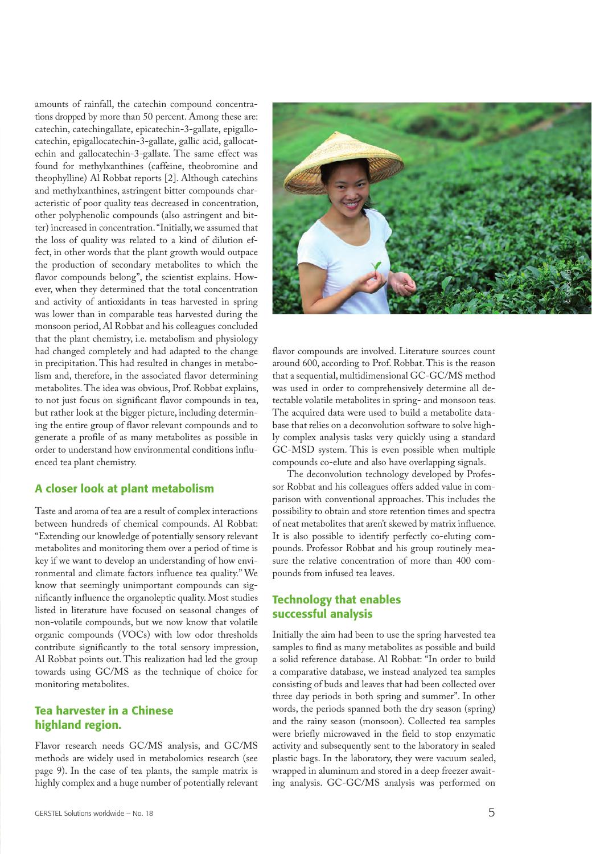amounts of rainfall, the catechin compound concentrations dropped by more than 50 percent. Among these are: catechin, catechingallate, epicatechin-3-gallate, epigallocatechin, epigallocatechin-3-gallate, gallic acid, gallocatechin and gallocatechin-3-gallate. The same effect was found for methylxanthines (caffeine, theobromine and theophylline) Al Robbat reports [2]. Although catechins and methylxanthines, astringent bitter compounds characteristic of poor quality teas decreased in concentration, other polyphenolic compounds (also astringent and bitter) increased in concentration. "Initially, we assumed that the loss of quality was related to a kind of dilution effect, in other words that the plant growth would outpace the production of secondary metabolites to which the flavor compounds belong", the scientist explains. However, when they determined that the total concentration and activity of antioxidants in teas harvested in spring was lower than in comparable teas harvested during the monsoon period, Al Robbat and his colleagues concluded that the plant chemistry, i.e. metabolism and physiology had changed completely and had adapted to the change in precipitation. This had resulted in changes in metabolism and, therefore, in the associated flavor determining metabolites. The idea was obvious, Prof. Robbat explains, to not just focus on significant flavor compounds in tea, but rather look at the bigger picture, including determining the entire group of flavor relevant compounds and to generate a profile of as many metabolites as possible in order to understand how environmental conditions influenced tea plant chemistry.

#### A closer look at plant metabolism

Taste and aroma of tea are a result of complex interactions between hundreds of chemical compounds. Al Robbat: "Extending our knowledge of potentially sensory relevant metabolites and monitoring them over a period of time is key if we want to develop an understanding of how environmental and climate factors influence tea quality." We know that seemingly unimportant compounds can significantly influence the organoleptic quality. Most studies listed in literature have focused on seasonal changes of non-volatile compounds, but we now know that volatile organic compounds (VOCs) with low odor thresholds contribute significantly to the total sensory impression, Al Robbat points out. This realization had led the group towards using GC/MS as the technique of choice for monitoring metabolites.

#### Tea harvester in a Chinese highland region.

Flavor research needs GC/MS analysis, and GC/MS methods are widely used in metabolomics research (see page 9). In the case of tea plants, the sample matrix is highly complex and a huge number of potentially relevant



flavor compounds are involved. Literature sources count around 600, according to Prof. Robbat. This is the reason that a sequential, multidimensional GC-GC/MS method was used in order to comprehensively determine all detectable volatile metabolites in spring- and monsoon teas. The acquired data were used to build a metabolite database that relies on a deconvolution software to solve highly complex analysis tasks very quickly using a standard GC-MSD system. This is even possible when multiple compounds co-elute and also have overlapping signals.

The deconvolution technology developed by Professor Robbat and his colleagues offers added value in comparison with conventional approaches. This includes the possibility to obtain and store retention times and spectra of neat metabolites that aren't skewed by matrix influence. It is also possible to identify perfectly co-eluting compounds. Professor Robbat and his group routinely measure the relative concentration of more than 400 compounds from infused tea leaves.

#### Technology that enables successful analysis

Initially the aim had been to use the spring harvested tea samples to find as many metabolites as possible and build a solid reference database. Al Robbat: "In order to build a comparative database, we instead analyzed tea samples consisting of buds and leaves that had been collected over three day periods in both spring and summer". In other words, the periods spanned both the dry season (spring) and the rainy season (monsoon). Collected tea samples were briefly microwaved in the field to stop enzymatic activity and subsequently sent to the laboratory in sealed plastic bags. In the laboratory, they were vacuum sealed, wrapped in aluminum and stored in a deep freezer awaiting analysis. GC-GC/MS analysis was performed on